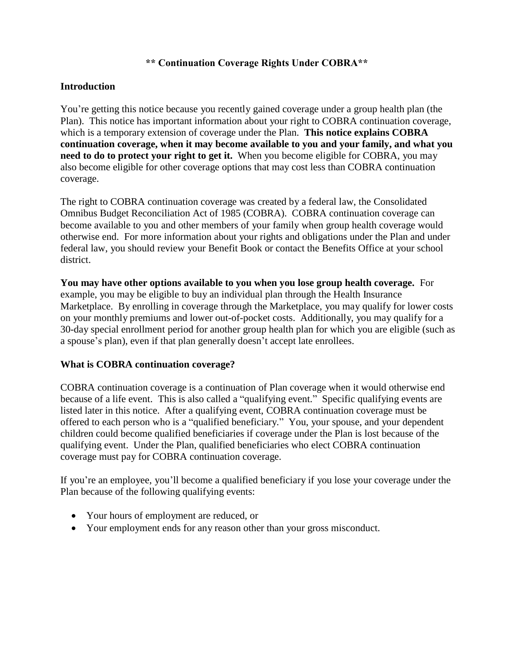#### **\*\* Continuation Coverage Rights Under COBRA\*\***

#### **Introduction**

You're getting this notice because you recently gained coverage under a group health plan (the Plan). This notice has important information about your right to COBRA continuation coverage, which is a temporary extension of coverage under the Plan. **This notice explains COBRA continuation coverage, when it may become available to you and your family, and what you need to do to protect your right to get it.** When you become eligible for COBRA, you may also become eligible for other coverage options that may cost less than COBRA continuation coverage.

The right to COBRA continuation coverage was created by a federal law, the Consolidated Omnibus Budget Reconciliation Act of 1985 (COBRA). COBRA continuation coverage can become available to you and other members of your family when group health coverage would otherwise end. For more information about your rights and obligations under the Plan and under federal law, you should review your Benefit Book or contact the Benefits Office at your school district.

**You may have other options available to you when you lose group health coverage.** For example, you may be eligible to buy an individual plan through the Health Insurance Marketplace. By enrolling in coverage through the Marketplace, you may qualify for lower costs on your monthly premiums and lower out-of-pocket costs. Additionally, you may qualify for a 30-day special enrollment period for another group health plan for which you are eligible (such as a spouse's plan), even if that plan generally doesn't accept late enrollees.

### **What is COBRA continuation coverage?**

COBRA continuation coverage is a continuation of Plan coverage when it would otherwise end because of a life event. This is also called a "qualifying event." Specific qualifying events are listed later in this notice. After a qualifying event, COBRA continuation coverage must be offered to each person who is a "qualified beneficiary." You, your spouse, and your dependent children could become qualified beneficiaries if coverage under the Plan is lost because of the qualifying event. Under the Plan, qualified beneficiaries who elect COBRA continuation coverage must pay for COBRA continuation coverage.

If you're an employee, you'll become a qualified beneficiary if you lose your coverage under the Plan because of the following qualifying events:

- Your hours of employment are reduced, or
- Your employment ends for any reason other than your gross misconduct.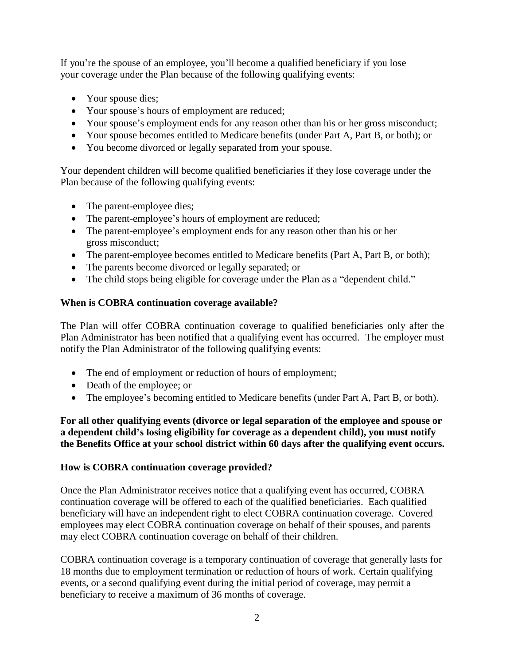If you're the spouse of an employee, you'll become a qualified beneficiary if you lose your coverage under the Plan because of the following qualifying events:

- Your spouse dies;
- Your spouse's hours of employment are reduced;
- Your spouse's employment ends for any reason other than his or her gross misconduct;
- Your spouse becomes entitled to Medicare benefits (under Part A, Part B, or both); or
- You become divorced or legally separated from your spouse.

Your dependent children will become qualified beneficiaries if they lose coverage under the Plan because of the following qualifying events:

- The parent-employee dies;
- The parent-employee's hours of employment are reduced;
- The parent-employee's employment ends for any reason other than his or her gross misconduct;
- The parent-employee becomes entitled to Medicare benefits (Part A, Part B, or both);
- The parents become divorced or legally separated; or
- The child stops being eligible for coverage under the Plan as a "dependent child."

# **When is COBRA continuation coverage available?**

The Plan will offer COBRA continuation coverage to qualified beneficiaries only after the Plan Administrator has been notified that a qualifying event has occurred. The employer must notify the Plan Administrator of the following qualifying events:

- The end of employment or reduction of hours of employment;
- Death of the employee; or
- The employee's becoming entitled to Medicare benefits (under Part A, Part B, or both).

**For all other qualifying events (divorce or legal separation of the employee and spouse or a dependent child's losing eligibility for coverage as a dependent child), you must notify the Benefits Office at your school district within 60 days after the qualifying event occurs.**

### **How is COBRA continuation coverage provided?**

Once the Plan Administrator receives notice that a qualifying event has occurred, COBRA continuation coverage will be offered to each of the qualified beneficiaries. Each qualified beneficiary will have an independent right to elect COBRA continuation coverage. Covered employees may elect COBRA continuation coverage on behalf of their spouses, and parents may elect COBRA continuation coverage on behalf of their children.

COBRA continuation coverage is a temporary continuation of coverage that generally lasts for 18 months due to employment termination or reduction of hours of work. Certain qualifying events, or a second qualifying event during the initial period of coverage, may permit a beneficiary to receive a maximum of 36 months of coverage.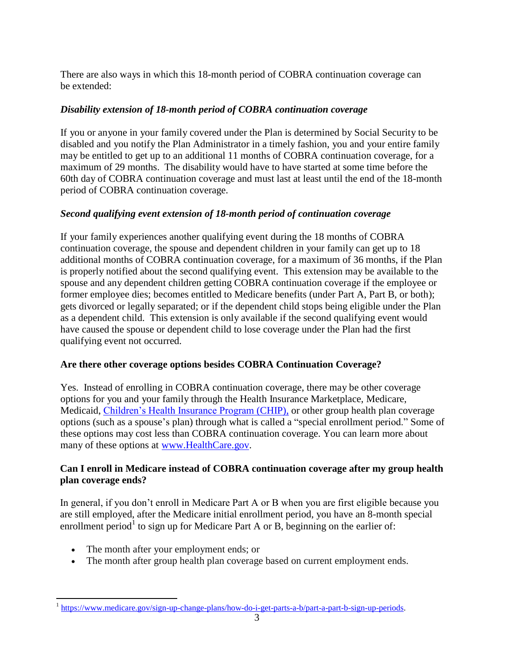There are also ways in which this 18-month period of COBRA continuation coverage can be extended:

## *Disability extension of 18-month period of COBRA continuation coverage*

If you or anyone in your family covered under the Plan is determined by Social Security to be disabled and you notify the Plan Administrator in a timely fashion, you and your entire family may be entitled to get up to an additional 11 months of COBRA continuation coverage, for a maximum of 29 months. The disability would have to have started at some time before the 60th day of COBRA continuation coverage and must last at least until the end of the 18-month period of COBRA continuation coverage.

### *Second qualifying event extension of 18-month period of continuation coverage*

If your family experiences another qualifying event during the 18 months of COBRA continuation coverage, the spouse and dependent children in your family can get up to 18 additional months of COBRA continuation coverage, for a maximum of 36 months, if the Plan is properly notified about the second qualifying event. This extension may be available to the spouse and any dependent children getting COBRA continuation coverage if the employee or former employee dies; becomes entitled to Medicare benefits (under Part A, Part B, or both); gets divorced or legally separated; or if the dependent child stops being eligible under the Plan as a dependent child. This extension is only available if the second qualifying event would have caused the spouse or dependent child to lose coverage under the Plan had the first qualifying event not occurred.

### **Are there other coverage options besides COBRA Continuation Coverage?**

Yes. Instead of enrolling in COBRA continuation coverage, there may be other coverage options for you and your family through the Health Insurance Marketplace, Medicare, Medicaid, [Children's Health Insurance Program](https://www.healthcare.gov/are-my-children-eligible-for-chip) (CHIP), or other group health plan coverage options (such as a spouse's plan) through what is called a "special enrollment period." Some of these options may cost less than COBRA continuation coverage. You can learn more about many of these options at [www.HealthCare.gov.](http://www.healthcare.gov/)

# **Can I enroll in Medicare instead of COBRA continuation coverage after my group health plan coverage ends?**

In general, if you don't enroll in Medicare Part A or B when you are first eligible because you are still employed, after the Medicare initial enrollment period, you have an 8-month special enrollment period<sup>1</sup> to sign up for Medicare Part A or B, beginning on the earlier of:

- The month after your employment ends; or
- The month after group health plan coverage based on current employment ends.

<sup>&</sup>lt;sup>1</sup> [https://www.medicare.gov/sign-up-change-plans/how-do-i-get-parts-a-b/part-a-part-b-sign-up-periods.](https://www.medicare.gov/sign-up-change-plans/how-do-i-get-parts-a-b/part-a-part-b-sign-up-periods)